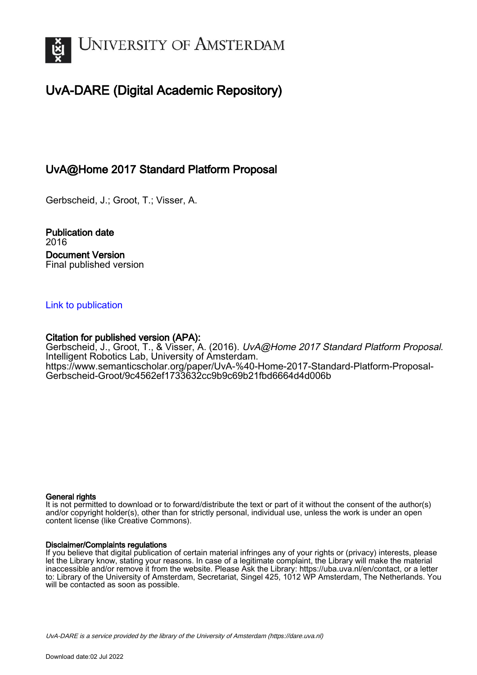

# UvA-DARE (Digital Academic Repository)

## UvA@Home 2017 Standard Platform Proposal

Gerbscheid, J.; Groot, T.; Visser, A.

Publication date 2016 Document Version Final published version

### [Link to publication](https://dare.uva.nl/personal/pure/en/publications/uvahome-2017-standard-platform-proposal(18460d53-821a-403d-a7f3-d63e52ded585).html)

## Citation for published version (APA):

Gerbscheid, J., Groot, T., & Visser, A. (2016). UvA@Home 2017 Standard Platform Proposal. Intelligent Robotics Lab, University of Amsterdam. [https://www.semanticscholar.org/paper/UvA-%40-Home-2017-Standard-Platform-Proposal-](https://www.semanticscholar.org/paper/UvA-%40-Home-2017-Standard-Platform-Proposal-Gerbscheid-Groot/9c4562ef1733632cc9b9c69b21fbd6664d4d006b)[Gerbscheid-Groot/9c4562ef1733632cc9b9c69b21fbd6664d4d006b](https://www.semanticscholar.org/paper/UvA-%40-Home-2017-Standard-Platform-Proposal-Gerbscheid-Groot/9c4562ef1733632cc9b9c69b21fbd6664d4d006b)

#### General rights

It is not permitted to download or to forward/distribute the text or part of it without the consent of the author(s) and/or copyright holder(s), other than for strictly personal, individual use, unless the work is under an open content license (like Creative Commons).

#### Disclaimer/Complaints regulations

If you believe that digital publication of certain material infringes any of your rights or (privacy) interests, please let the Library know, stating your reasons. In case of a legitimate complaint, the Library will make the material inaccessible and/or remove it from the website. Please Ask the Library: https://uba.uva.nl/en/contact, or a letter to: Library of the University of Amsterdam, Secretariat, Singel 425, 1012 WP Amsterdam, The Netherlands. You will be contacted as soon as possible.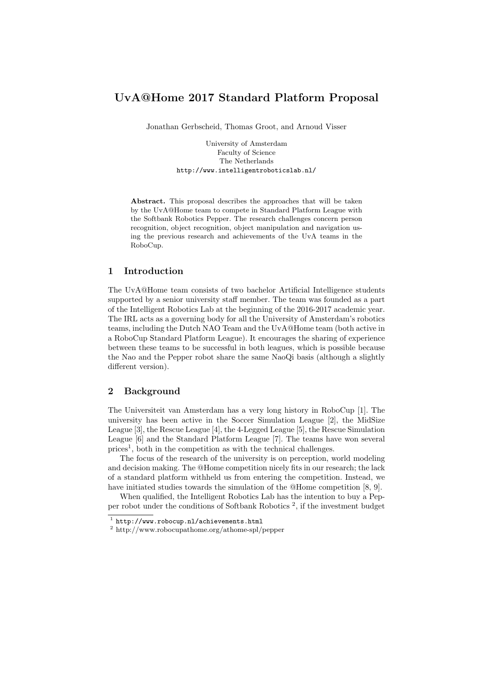## UvA@Home 2017 Standard Platform Proposal

Jonathan Gerbscheid, Thomas Groot, and Arnoud Visser

University of Amsterdam Faculty of Science The Netherlands http://www.intelligentroboticslab.nl/

Abstract. This proposal describes the approaches that will be taken by the UvA@Home team to compete in Standard Platform League with the Softbank Robotics Pepper. The research challenges concern person recognition, object recognition, object manipulation and navigation using the previous research and achievements of the UvA teams in the RoboCup.

#### 1 Introduction

The UvA@Home team consists of two bachelor Artificial Intelligence students supported by a senior university staff member. The team was founded as a part of the Intelligent Robotics Lab at the beginning of the 2016-2017 academic year. The IRL acts as a governing body for all the University of Amsterdam's robotics teams, including the Dutch NAO Team and the UvA@Home team (both active in a RoboCup Standard Platform League). It encourages the sharing of experience between these teams to be successful in both leagues, which is possible because the Nao and the Pepper robot share the same NaoQi basis (although a slightly different version).

#### 2 Background

The Universiteit van Amsterdam has a very long history in RoboCup [1]. The university has been active in the Soccer Simulation League [2], the MidSize League [3], the Rescue League [4], the 4-Legged League [5], the Rescue Simulation League [6] and the Standard Platform League [7]. The teams have won several  $\text{prices}^1$ , both in the competition as with the technical challenges.

The focus of the research of the university is on perception, world modeling and decision making. The @Home competition nicely fits in our research; the lack of a standard platform withheld us from entering the competition. Instead, we have initiated studies towards the simulation of the @Home competition [8, 9].

When qualified, the Intelligent Robotics Lab has the intention to buy a Pepper robot under the conditions of Softbank Robotics <sup>2</sup> , if the investment budget

<sup>1</sup> http://www.robocup.nl/achievements.html

<sup>2</sup> http://www.robocupathome.org/athome-spl/pepper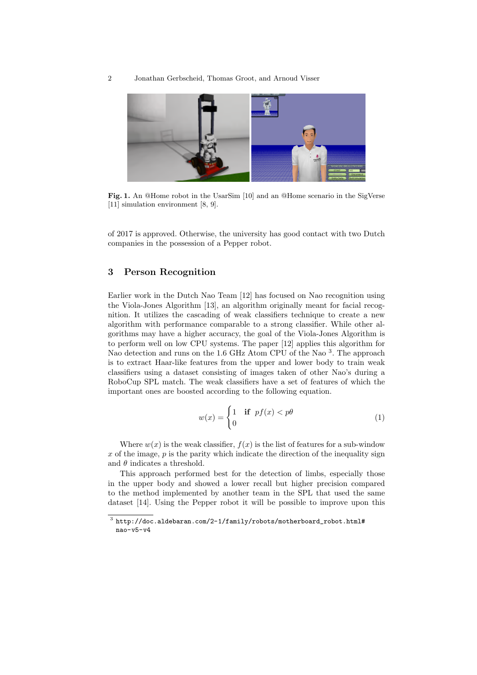

Fig. 1. An @Home robot in the UsarSim [10] and an @Home scenario in the SigVerse [11] simulation environment [8, 9].

of 2017 is approved. Otherwise, the university has good contact with two Dutch companies in the possession of a Pepper robot.

#### 3 Person Recognition

Earlier work in the Dutch Nao Team [12] has focused on Nao recognition using the Viola-Jones Algorithm [13], an algorithm originally meant for facial recognition. It utilizes the cascading of weak classifiers technique to create a new algorithm with performance comparable to a strong classifier. While other algorithms may have a higher accuracy, the goal of the Viola-Jones Algorithm is to perform well on low CPU systems. The paper [12] applies this algorithm for Nao detection and runs on the 1.6 GHz Atom CPU of the Nao<sup>3</sup>. The approach is to extract Haar-like features from the upper and lower body to train weak classifiers using a dataset consisting of images taken of other Nao's during a RoboCup SPL match. The weak classifiers have a set of features of which the important ones are boosted according to the following equation.

$$
w(x) = \begin{cases} 1 & \text{if } pf(x) < p\theta \\ 0 & \end{cases}
$$
 (1)

Where  $w(x)$  is the weak classifier,  $f(x)$  is the list of features for a sub-window  $x$  of the image,  $p$  is the parity which indicate the direction of the inequality sign and  $\theta$  indicates a threshold.

This approach performed best for the detection of limbs, especially those in the upper body and showed a lower recall but higher precision compared to the method implemented by another team in the SPL that used the same dataset [14]. Using the Pepper robot it will be possible to improve upon this

 $^3$  http://doc.aldebaran.com/2-1/family/robots/motherboard\_robot.html# nao-v5-v4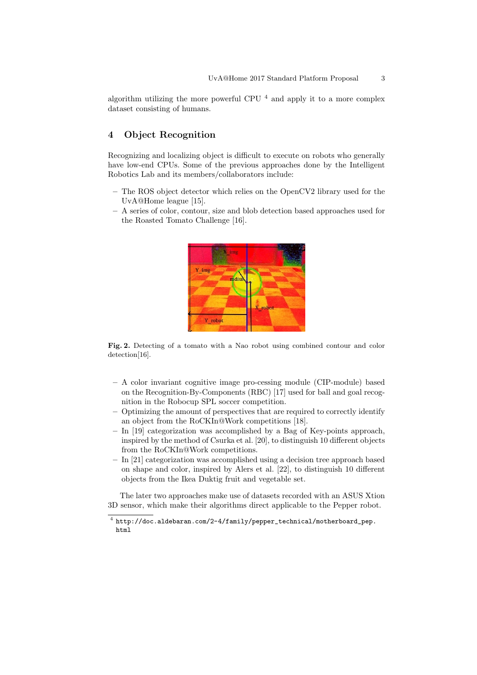algorithm utilizing the more powerful CPU  $4$  and apply it to a more complex dataset consisting of humans.

#### 4 Object Recognition

Recognizing and localizing object is difficult to execute on robots who generally have low-end CPUs. Some of the previous approaches done by the Intelligent Robotics Lab and its members/collaborators include:

- The ROS object detector which relies on the OpenCV2 library used for the UvA@Home league [15].
- A series of color, contour, size and blob detection based approaches used for the Roasted Tomato Challenge [16].



Fig. 2. Detecting of a tomato with a Nao robot using combined contour and color detection[16].

- A color invariant cognitive image pro-cessing module (CIP-module) based on the Recognition-By-Components (RBC) [17] used for ball and goal recognition in the Robocup SPL soccer competition.
- Optimizing the amount of perspectives that are required to correctly identify an object from the RoCKIn@Work competitions [18].
- In [19] categorization was accomplished by a Bag of Key-points approach, inspired by the method of Csurka et al. [20], to distinguish 10 different objects from the RoCKIn@Work competitions.
- In [21] categorization was accomplished using a decision tree approach based on shape and color, inspired by Alers et al. [22], to distinguish 10 different objects from the Ikea Duktig fruit and vegetable set.

The later two approaches make use of datasets recorded with an ASUS Xtion 3D sensor, which make their algorithms direct applicable to the Pepper robot.

 $^4$  http://doc.aldebaran.com/2-4/family/pepper\_technical/motherboard\_pep. html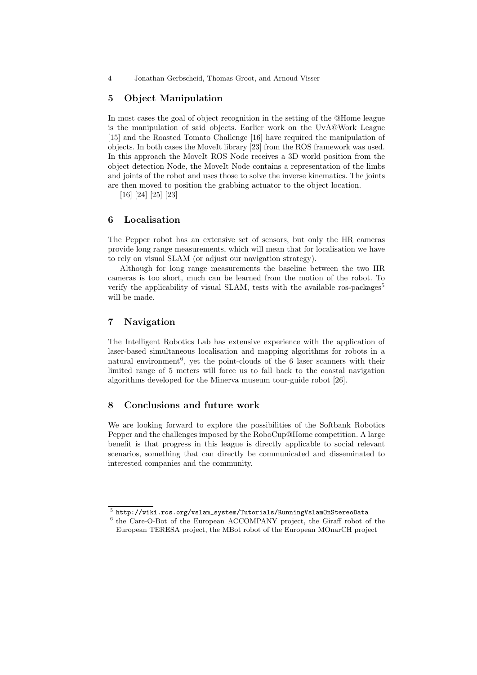4 Jonathan Gerbscheid, Thomas Groot, and Arnoud Visser

#### 5 Object Manipulation

In most cases the goal of object recognition in the setting of the @Home league is the manipulation of said objects. Earlier work on the UvA@Work League [15] and the Roasted Tomato Challenge [16] have required the manipulation of objects. In both cases the MoveIt library [23] from the ROS framework was used. In this approach the MoveIt ROS Node receives a 3D world position from the object detection Node, the MoveIt Node contains a representation of the limbs and joints of the robot and uses those to solve the inverse kinematics. The joints are then moved to position the grabbing actuator to the object location.

[16] [24] [25] [23]

#### 6 Localisation

The Pepper robot has an extensive set of sensors, but only the HR cameras provide long range measurements, which will mean that for localisation we have to rely on visual SLAM (or adjust our navigation strategy).

Although for long range measurements the baseline between the two HR cameras is too short, much can be learned from the motion of the robot. To verify the applicability of visual SLAM, tests with the available ros-packages<sup>5</sup> will be made.

#### 7 Navigation

The Intelligent Robotics Lab has extensive experience with the application of laser-based simultaneous localisation and mapping algorithms for robots in a natural environment<sup>6</sup>, yet the point-clouds of the 6 laser scanners with their limited range of 5 meters will force us to fall back to the coastal navigation algorithms developed for the Minerva museum tour-guide robot [26].

#### 8 Conclusions and future work

We are looking forward to explore the possibilities of the Softbank Robotics Pepper and the challenges imposed by the RoboCup@Home competition. A large benefit is that progress in this league is directly applicable to social relevant scenarios, something that can directly be communicated and disseminated to interested companies and the community.

 $^5$  http://wiki.ros.org/vslam\_system/Tutorials/RunningVslamOnStereoData

<sup>&</sup>lt;sup>6</sup> the Care-O-Bot of the European ACCOMPANY project, the Giraff robot of the European TERESA project, the MBot robot of the European MOnarCH project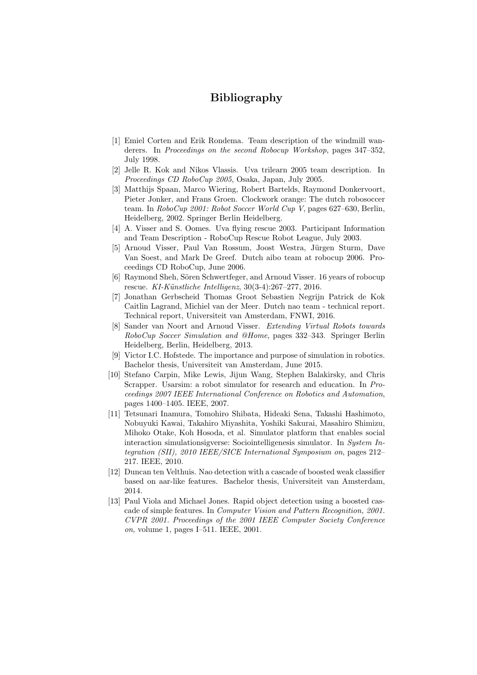## Bibliography

- [1] Emiel Corten and Erik Rondema. Team description of the windmill wanderers. In Proceedings on the second Robocup Workshop, pages 347–352, July 1998.
- [2] Jelle R. Kok and Nikos Vlassis. Uva trilearn 2005 team description. In Proceedings CD RoboCup 2005, Osaka, Japan, July 2005.
- [3] Matthijs Spaan, Marco Wiering, Robert Bartelds, Raymond Donkervoort, Pieter Jonker, and Frans Groen. Clockwork orange: The dutch robosoccer team. In RoboCup 2001: Robot Soccer World Cup V, pages 627–630, Berlin, Heidelberg, 2002. Springer Berlin Heidelberg.
- [4] A. Visser and S. Oomes. Uva flying rescue 2003. Participant Information and Team Description - RoboCup Rescue Robot League, July 2003.
- [5] Arnoud Visser, Paul Van Rossum, Joost Westra, Jürgen Sturm, Dave Van Soest, and Mark De Greef. Dutch aibo team at robocup 2006. Proceedings CD RoboCup, June 2006.
- [6] Raymond Sheh, Sören Schwertfeger, and Arnoud Visser, 16 years of robocup rescue. KI-Künstliche Intelligenz, 30(3-4):267-277, 2016.
- [7] Jonathan Gerbscheid Thomas Groot Sebastien Negrijn Patrick de Kok Caitlin Lagrand, Michiel van der Meer. Dutch nao team - technical report. Technical report, Universiteit van Amsterdam, FNWI, 2016.
- [8] Sander van Noort and Arnoud Visser. Extending Virtual Robots towards RoboCup Soccer Simulation and @Home, pages 332–343. Springer Berlin Heidelberg, Berlin, Heidelberg, 2013.
- [9] Victor I.C. Hofstede. The importance and purpose of simulation in robotics. Bachelor thesis, Universiteit van Amsterdam, June 2015.
- [10] Stefano Carpin, Mike Lewis, Jijun Wang, Stephen Balakirsky, and Chris Scrapper. Usarsim: a robot simulator for research and education. In Proceedings 2007 IEEE International Conference on Robotics and Automation, pages 1400–1405. IEEE, 2007.
- [11] Tetsunari Inamura, Tomohiro Shibata, Hideaki Sena, Takashi Hashimoto, Nobuyuki Kawai, Takahiro Miyashita, Yoshiki Sakurai, Masahiro Shimizu, Mihoko Otake, Koh Hosoda, et al. Simulator platform that enables social interaction simulationsigverse: Sociointelligenesis simulator. In System Integration (SII), 2010 IEEE/SICE International Symposium on, pages 212– 217. IEEE, 2010.
- [12] Duncan ten Velthuis. Nao detection with a cascade of boosted weak classifier based on aar-like features. Bachelor thesis, Universiteit van Amsterdam, 2014.
- [13] Paul Viola and Michael Jones. Rapid object detection using a boosted cascade of simple features. In Computer Vision and Pattern Recognition, 2001. CVPR 2001. Proceedings of the 2001 IEEE Computer Society Conference on, volume 1, pages I–511. IEEE, 2001.